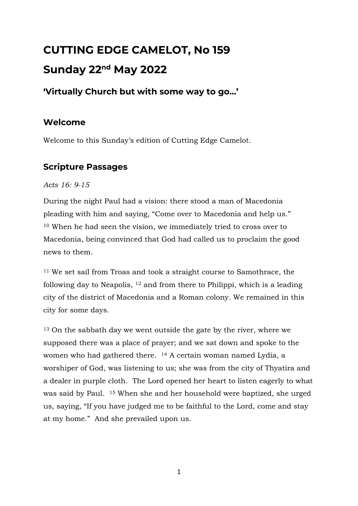# **CUTTING EDGE CAMELOT, No 159 Sunday 22nd May 2022**

# **'Virtually Church but with some way to go…'**

# **Welcome**

Welcome to this Sunday's edition of Cutting Edge Camelot.

# **Scripture Passages**

*Acts 16: 9-15*

During the night Paul had a vision: there stood a man of Macedonia pleading with him and saying, "Come over to Macedonia and help us." <sup>10</sup> When he had seen the vision, we immediately tried to cross over to Macedonia, being convinced that God had called us to proclaim the good news to them.

<sup>11</sup> We set sail from Troas and took a straight course to Samothrace, the following day to Neapolis, <sup>12</sup> and from there to Philippi, which is a leading city of the district of Macedonia and a Roman colony. We remained in this city for some days.

<sup>13</sup> On the sabbath day we went outside the gate by the river, where we supposed there was a place of prayer; and we sat down and spoke to the women who had gathered there. <sup>14</sup> A certain woman named Lydia, a worshiper of God, was listening to us; she was from the city of Thyatira and a dealer in purple cloth. The Lord opened her heart to listen eagerly to what was said by Paul. <sup>15</sup> When she and her household were baptized, she urged us, saying, "If you have judged me to be faithful to the Lord, come and stay at my home." And she prevailed upon us.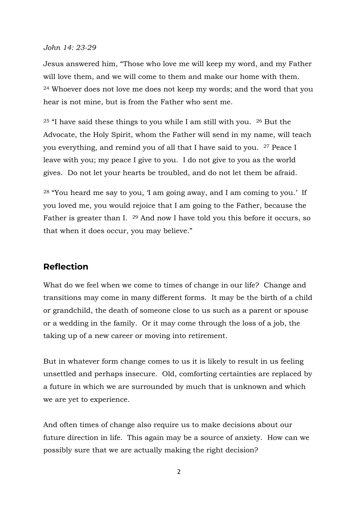#### *John 14: 23-29*

Jesus answered him, "Those who love me will keep my word, and my Father will love them, and we will come to them and make our home with them. <sup>24</sup> Whoever does not love me does not keep my words; and the word that you hear is not mine, but is from the Father who sent me.

 $25$  "I have said these things to you while I am still with you.  $26$  But the Advocate, the Holy Spirit, whom the Father will send in my name, will teach you everything, and remind you of all that I have said to you. <sup>27</sup> Peace I leave with you; my peace I give to you. I do not give to you as the world gives. Do not let your hearts be troubled, and do not let them be afraid.

<sup>28</sup> "You heard me say to you, 'I am going away, and I am coming to you.' If you loved me, you would rejoice that I am going to the Father, because the Father is greater than I. <sup>29</sup> And now I have told you this before it occurs, so that when it does occur, you may believe."

# **Reflection**

What do we feel when we come to times of change in our life? Change and transitions may come in many different forms. It may be the birth of a child or grandchild, the death of someone close to us such as a parent or spouse or a wedding in the family. Or it may come through the loss of a job, the taking up of a new career or moving into retirement.

But in whatever form change comes to us it is likely to result in us feeling unsettled and perhaps insecure. Old, comforting certainties are replaced by a future in which we are surrounded by much that is unknown and which we are yet to experience.

And often times of change also require us to make decisions about our future direction in life. This again may be a source of anxiety. How can we possibly sure that we are actually making the right decision?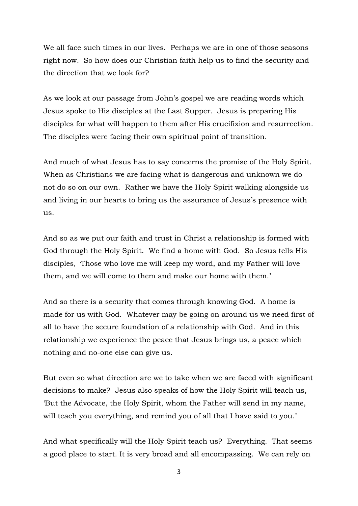We all face such times in our lives. Perhaps we are in one of those seasons right now. So how does our Christian faith help us to find the security and the direction that we look for?

As we look at our passage from John's gospel we are reading words which Jesus spoke to His disciples at the Last Supper. Jesus is preparing His disciples for what will happen to them after His crucifixion and resurrection. The disciples were facing their own spiritual point of transition.

And much of what Jesus has to say concerns the promise of the Holy Spirit. When as Christians we are facing what is dangerous and unknown we do not do so on our own. Rather we have the Holy Spirit walking alongside us and living in our hearts to bring us the assurance of Jesus's presence with us.

And so as we put our faith and trust in Christ a relationship is formed with God through the Holy Spirit. We find a home with God. So Jesus tells His disciples*, '*Those who love me will keep my word, and my Father will love them, and we will come to them and make our home with them.'

And so there is a security that comes through knowing God. A home is made for us with God. Whatever may be going on around us we need first of all to have the secure foundation of a relationship with God. And in this relationship we experience the peace that Jesus brings us, a peace which nothing and no-one else can give us.

But even so what direction are we to take when we are faced with significant decisions to make? Jesus also speaks of how the Holy Spirit will teach us, 'But the Advocate, the Holy Spirit, whom the Father will send in my name, will teach you everything, and remind you of all that I have said to you.'

And what specifically will the Holy Spirit teach us? Everything. That seems a good place to start. It is very broad and all encompassing. We can rely on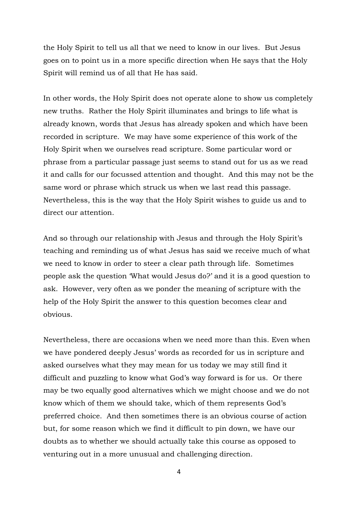the Holy Spirit to tell us all that we need to know in our lives. But Jesus goes on to point us in a more specific direction when He says that the Holy Spirit will remind us of all that He has said.

In other words, the Holy Spirit does not operate alone to show us completely new truths. Rather the Holy Spirit illuminates and brings to life what is already known, words that Jesus has already spoken and which have been recorded in scripture. We may have some experience of this work of the Holy Spirit when we ourselves read scripture. Some particular word or phrase from a particular passage just seems to stand out for us as we read it and calls for our focussed attention and thought. And this may not be the same word or phrase which struck us when we last read this passage. Nevertheless, this is the way that the Holy Spirit wishes to guide us and to direct our attention.

And so through our relationship with Jesus and through the Holy Spirit's teaching and reminding us of what Jesus has said we receive much of what we need to know in order to steer a clear path through life. Sometimes people ask the question 'What would Jesus do?' and it is a good question to ask. However, very often as we ponder the meaning of scripture with the help of the Holy Spirit the answer to this question becomes clear and obvious.

Nevertheless, there are occasions when we need more than this. Even when we have pondered deeply Jesus' words as recorded for us in scripture and asked ourselves what they may mean for us today we may still find it difficult and puzzling to know what God's way forward is for us. Or there may be two equally good alternatives which we might choose and we do not know which of them we should take, which of them represents God's preferred choice. And then sometimes there is an obvious course of action but, for some reason which we find it difficult to pin down, we have our doubts as to whether we should actually take this course as opposed to venturing out in a more unusual and challenging direction.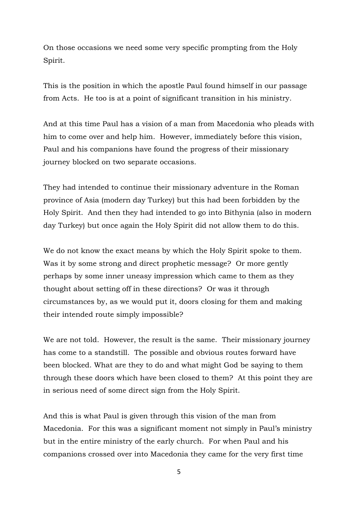On those occasions we need some very specific prompting from the Holy Spirit.

This is the position in which the apostle Paul found himself in our passage from Acts. He too is at a point of significant transition in his ministry.

And at this time Paul has a vision of a man from Macedonia who pleads with him to come over and help him. However, immediately before this vision, Paul and his companions have found the progress of their missionary journey blocked on two separate occasions.

They had intended to continue their missionary adventure in the Roman province of Asia (modern day Turkey) but this had been forbidden by the Holy Spirit. And then they had intended to go into Bithynia (also in modern day Turkey) but once again the Holy Spirit did not allow them to do this.

We do not know the exact means by which the Holy Spirit spoke to them. Was it by some strong and direct prophetic message? Or more gently perhaps by some inner uneasy impression which came to them as they thought about setting off in these directions? Or was it through circumstances by, as we would put it, doors closing for them and making their intended route simply impossible?

We are not told. However, the result is the same. Their missionary journey has come to a standstill. The possible and obvious routes forward have been blocked. What are they to do and what might God be saying to them through these doors which have been closed to them? At this point they are in serious need of some direct sign from the Holy Spirit.

And this is what Paul is given through this vision of the man from Macedonia. For this was a significant moment not simply in Paul's ministry but in the entire ministry of the early church. For when Paul and his companions crossed over into Macedonia they came for the very first time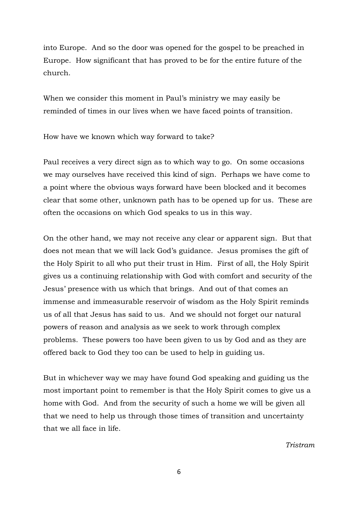into Europe. And so the door was opened for the gospel to be preached in Europe. How significant that has proved to be for the entire future of the church.

When we consider this moment in Paul's ministry we may easily be reminded of times in our lives when we have faced points of transition.

How have we known which way forward to take?

Paul receives a very direct sign as to which way to go. On some occasions we may ourselves have received this kind of sign. Perhaps we have come to a point where the obvious ways forward have been blocked and it becomes clear that some other, unknown path has to be opened up for us. These are often the occasions on which God speaks to us in this way.

On the other hand, we may not receive any clear or apparent sign. But that does not mean that we will lack God's guidance. Jesus promises the gift of the Holy Spirit to all who put their trust in Him. First of all, the Holy Spirit gives us a continuing relationship with God with comfort and security of the Jesus' presence with us which that brings. And out of that comes an immense and immeasurable reservoir of wisdom as the Holy Spirit reminds us of all that Jesus has said to us. And we should not forget our natural powers of reason and analysis as we seek to work through complex problems. These powers too have been given to us by God and as they are offered back to God they too can be used to help in guiding us.

But in whichever way we may have found God speaking and guiding us the most important point to remember is that the Holy Spirit comes to give us a home with God. And from the security of such a home we will be given all that we need to help us through those times of transition and uncertainty that we all face in life.

*Tristram*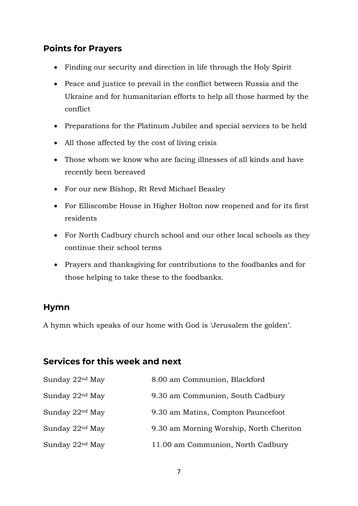# **Points for Prayers**

- Finding our security and direction in life through the Holy Spirit
- Peace and justice to prevail in the conflict between Russia and the Ukraine and for humanitarian efforts to help all those harmed by the conflict
- Preparations for the Platinum Jubilee and special services to be held
- All those affected by the cost of living crisis
- Those whom we know who are facing illnesses of all kinds and have recently been bereaved
- For our new Bishop, Rt Revd Michael Beasley
- For Elliscombe House in Higher Holton now reopened and for its first residents
- For North Cadbury church school and our other local schools as they continue their school terms
- Prayers and thanksgiving for contributions to the foodbanks and for those helping to take these to the foodbanks.

#### **Hymn**

A hymn which speaks of our home with God is 'Jerusalem the golden'.

# **Services for this week and next**

| Sunday 22 <sup>nd</sup> May | 8.00 am Communion, Blackford            |
|-----------------------------|-----------------------------------------|
| Sunday 22 <sup>nd</sup> May | 9.30 am Communion, South Cadbury        |
| Sunday 22 <sup>nd</sup> May | 9.30 am Matins, Compton Pauncefoot      |
| Sunday 22 <sup>nd</sup> May | 9.30 am Morning Worship, North Cheriton |
| Sunday 22 <sup>nd</sup> May | 11.00 am Communion, North Cadbury       |